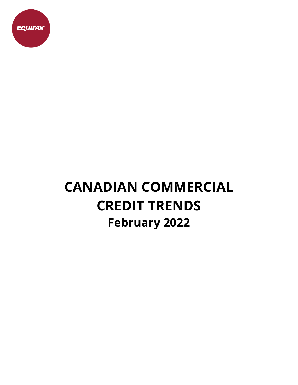

# **CANADIAN COMMERCIAL CREDIT TRENDS February 2022**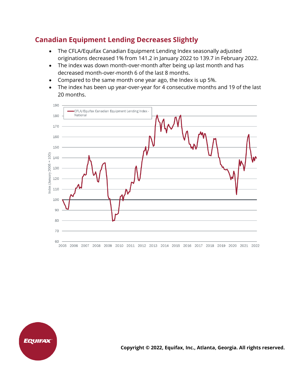## **Canadian Equipment Lending Decreases Slightly**

- The CFLA/Equifax Canadian Equipment Lending Index seasonally adjusted originations decreased 1% from 141.2 in January 2022 to 139.7 in February 2022.
- The index was down month-over-month after being up last month and has decreased month-over-month 6 of the last 8 months.
- Compared to the same month one year ago, the Index is up 5%.
- The index has been up year-over-year for 4 consecutive months and 19 of the last 20 months.





**Copyright © 2022, Equifax, Inc., Atlanta, Georgia. All rights reserved.**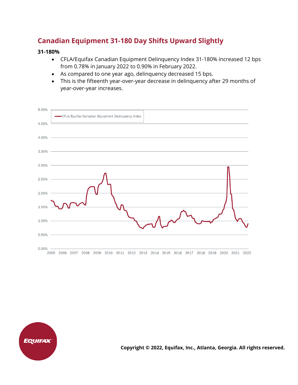## **Canadian Equipment 31-180 Day Shifts Upward Slightly**

#### **31-180%**

- CFLA/Equifax Canadian Equipment Delinquency Index 31-180% increased 12 bps from 0.78% in January 2022 to 0.90% in February 2022.
- As compared to one year ago, delinquency decreased 15 bps.
- This is the fifteenth year-over-year decrease in delinquency after 29 months of year-over-year increases.





**Copyright © 2022, Equifax, Inc., Atlanta, Georgia. All rights reserved.**